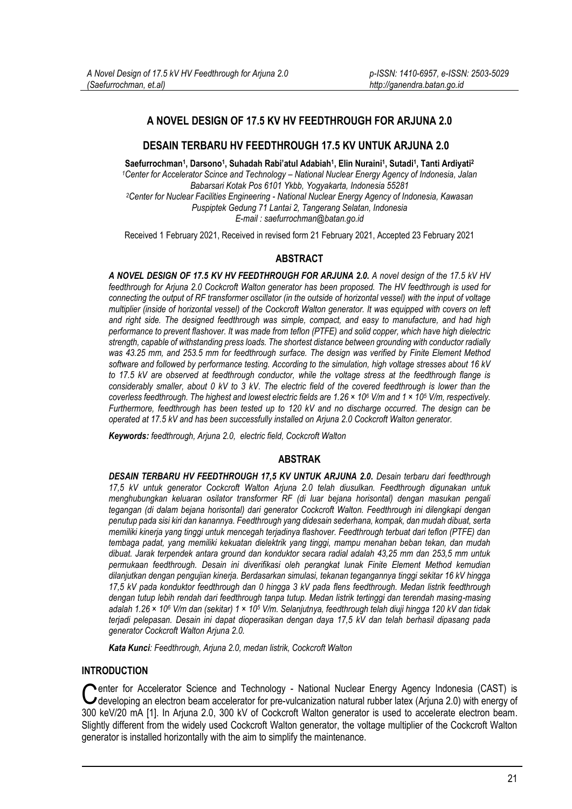# **A NOVEL DESIGN OF 17.5 KV HV FEEDTHROUGH FOR ARJUNA 2.0**

## **DESAIN TERBARU HV FEEDTHROUGH 17.5 KV UNTUK ARJUNA 2.0**

**Saefurrochman<sup>1</sup> , Darsono<sup>1</sup> , Suhadah Rabi'atul Adabiah<sup>1</sup> , Elin Nuraini<sup>1</sup> , Sutadi<sup>1</sup> , Tanti Ardiyati<sup>2</sup>**  *<sup>1</sup>Center for Accelerator Scince and Technology – National Nuclear Energy Agency of Indonesia, Jalan Babarsari Kotak Pos 6101 Ykbb, Yogyakarta, Indonesia 55281 <sup>2</sup>Center for Nuclear Facilities Engineering - National Nuclear Energy Agency of Indonesia, Kawasan Puspiptek Gedung 71 Lantai 2, Tangerang Selatan, Indonesia E-mail : saefurrochman@batan.go.id*

Received 1 February 2021, Received in revised form 21 February 2021, Accepted 23 February 2021

## **ABSTRACT**

*A NOVEL DESIGN OF 17.5 KV HV FEEDTHROUGH FOR ARJUNA 2.0. A novel design of the 17.5 kV HV feedthrough for Arjuna 2.0 Cockcroft Walton generator has been proposed. The HV feedthrough is used for connecting the output of RF transformer oscillator (in the outside of horizontal vessel) with the input of voltage multiplier (inside of horizontal vessel) of the Cockcroft Walton generator. It was equipped with covers on left and right side. The designed feedthrough was simple, compact, and easy to manufacture, and had high performance to prevent flashover. It was made from teflon (PTFE) and solid copper, which have high dielectric strength, capable of withstanding press loads. The shortest distance between grounding with conductor radially was 43.25 mm, and 253.5 mm for feedthrough surface. The design was verified by Finite Element Method software and followed by performance testing. According to the simulation, high voltage stresses about 16 kV to 17.5 kV are observed at feedthrough conductor, while the voltage stress at the feedthrough flange is considerably smaller, about 0 kV to 3 kV. The electric field of the covered feedthrough is lower than the coverless feedthrough. The highest and lowest electric fields are 1.26 × 10<sup>6</sup> V/m and 1 × 10<sup>5</sup> V/m, respectively. Furthermore, feedthrough has been tested up to 120 kV and no discharge occurred. The design can be operated at 17.5 kV and has been successfully installed on Arjuna 2.0 Cockcroft Walton generator.*

*Keywords: feedthrough, Arjuna 2.0, electric field, Cockcroft Walton*

#### **ABSTRAK**

*DESAIN TERBARU HV FEEDTHROUGH 17,5 KV UNTUK ARJUNA 2.0. Desain terbaru dari feedthrough 17,5 kV untuk generator Cockcroft Walton Arjuna 2.0 telah diusulkan. Feedthrough digunakan untuk menghubungkan keluaran osilator transformer RF (di luar bejana horisontal) dengan masukan pengali tegangan (di dalam bejana horisontal) dari generator Cockcroft Walton. Feedthrough ini dilengkapi dengan penutup pada sisi kiri dan kanannya. Feedthrough yang didesain sederhana, kompak, dan mudah dibuat, serta memiliki kinerja yang tinggi untuk mencegah terjadinya flashover. Feedthrough terbuat dari teflon (PTFE) dan tembaga padat, yang memiliki kekuatan dielektrik yang tinggi, mampu menahan beban tekan, dan mudah dibuat. Jarak terpendek antara ground dan konduktor secara radial adalah 43,25 mm dan 253,5 mm untuk permukaan feedthrough. Desain ini diverifikasi oleh perangkat lunak Finite Element Method kemudian dilanjutkan dengan pengujian kinerja. Berdasarkan simulasi, tekanan tegangannya tinggi sekitar 16 kV hingga 17,5 kV pada konduktor feedthrough dan 0 hingga 3 kV pada flens feedthrough. Medan listrik feedthrough dengan tutup lebih rendah dari feedthrough tanpa tutup. Medan listrik tertinggi dan terendah masing-masing adalah 1.26 × 10<sup>6</sup> V/m dan (sekitar) 1 × 10<sup>5</sup> V/m. Selanjutnya, feedthrough telah diuji hingga 120 kV dan tidak terjadi pelepasan. Desain ini dapat dioperasikan dengan daya 17,5 kV dan telah berhasil dipasang pada generator Cockcroft Walton Arjuna 2.0.*

*Kata Kunci: Feedthrough, Arjuna 2.0, medan listrik, Cockcroft Walton*

### **INTRODUCTION**

**Nenter for Accelerator Science and Technology - National Nuclear Energy Agency Indonesia (CAST) is** Center for Accelerator Science and Technology - National Nuclear Energy Agency Indonesia (CAST) is developing an electron beam accelerator for pre-vulcanization natural rubber latex (Arjuna 2.0) with energy of 300 keV/20 mA [1]. In Arjuna 2.0, 300 kV of Cockcroft Walton generator is used to accelerate electron beam. Slightly different from the widely used Cockcroft Walton generator, the voltage multiplier of the Cockcroft Walton generator is installed horizontally with the aim to simplify the maintenance.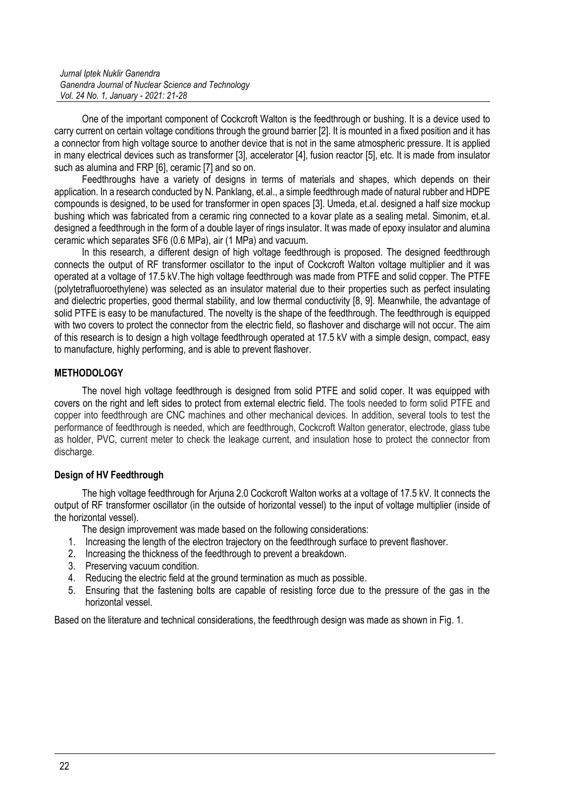*Jurnal Iptek Nuklir Ganendra Ganendra Journal of Nuclear Science and Technology Vol. 24 No. 1, January - 2021: 21-28*

One of the important component of Cockcroft Walton is the feedthrough or bushing. It is a device used to carry current on certain voltage conditions through the ground barrier [2]. It is mounted in a fixed position and it has a connector from high voltage source to another device that is not in the same atmospheric pressure. It is applied in many electrical devices such as transformer [3], accelerator [4], fusion reactor [5], etc. It is made from insulator such as alumina and FRP [6], ceramic [7] and so on.

Feedthroughs have a variety of designs in terms of materials and shapes, which depends on their application. In a research conducted by N. Panklang, et.al., a simple feedthrough made of natural rubber and HDPE compounds is designed, to be used for transformer in open spaces [3]. Umeda, et.al. designed a half size mockup bushing which was fabricated from a ceramic ring connected to a kovar plate as a sealing metal. Simonim, et.al. designed a feedthrough in the form of a double layer of rings insulator. It was made of epoxy insulator and alumina ceramic which separates SF6 (0.6 MPa), air (1 MPa) and vacuum.

In this research, a different design of high voltage feedthrough is proposed. The designed feedthrough connects the output of RF transformer oscillator to the input of Cockcroft Walton voltage multiplier and it was operated at a voltage of 17.5 kV.The high voltage feedthrough was made from PTFE and solid copper. The PTFE (polytetrafluoroethylene) was selected as an insulator material due to their properties such as perfect insulating and dielectric properties, good thermal stability, and low thermal conductivity [8, 9]. Meanwhile, the advantage of solid PTFE is easy to be manufactured. The novelty is the shape of the feedthrough. The feedthrough is equipped with two covers to protect the connector from the electric field, so flashover and discharge will not occur. The aim of this research is to design a high voltage feedthrough operated at 17.5 kV with a simple design, compact, easy to manufacture, highly performing, and is able to prevent flashover.

## **METHODOLOGY**

The novel high voltage feedthrough is designed from solid PTFE and solid coper. It was equipped with covers on the right and left sides to protect from external electric field. The tools needed to form solid PTFE and copper into feedthrough are CNC machines and other mechanical devices. In addition, several tools to test the performance of feedthrough is needed, which are feedthrough, Cockcroft Walton generator, electrode, glass tube as holder, PVC, current meter to check the leakage current, and insulation hose to protect the connector from discharge.

#### **Design of HV Feedthrough**

The high voltage feedthrough for Arjuna 2.0 Cockcroft Walton works at a voltage of 17.5 kV. It connects the output of RF transformer oscillator (in the outside of horizontal vessel) to the input of voltage multiplier (inside of the horizontal vessel).

The design improvement was made based on the following considerations:

- 1. Increasing the length of the electron trajectory on the feedthrough surface to prevent flashover.
- 2. Increasing the thickness of the feedthrough to prevent a breakdown.
- 3. Preserving vacuum condition.
- 4. Reducing the electric field at the ground termination as much as possible.
- 5. Ensuring that the fastening bolts are capable of resisting force due to the pressure of the gas in the horizontal vessel.

Based on the literature and technical considerations, the feedthrough design was made as shown in Fig. 1.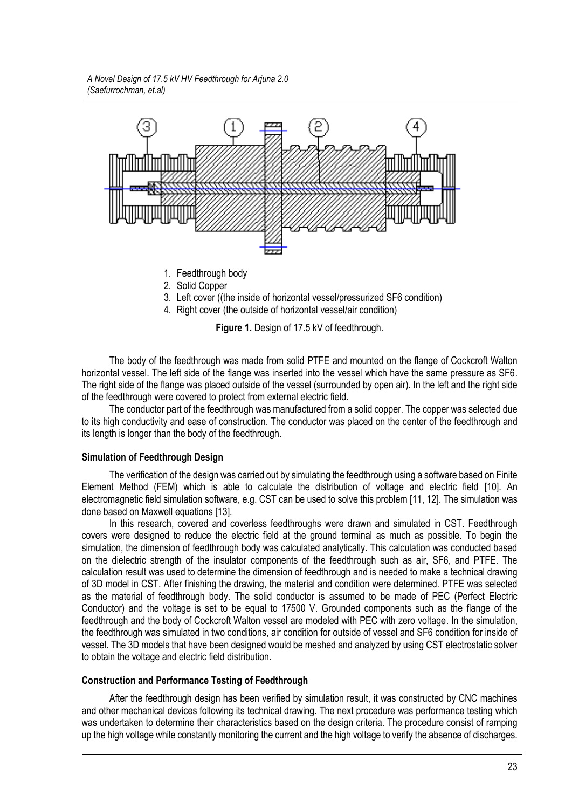*A Novel Design of 17.5 kV HV Feedthrough for Arjuna 2.0 (Saefurrochman, et.al)*



- 1. Feedthrough body
- 2. Solid Copper
- 3. Left cover ((the inside of horizontal vessel/pressurized SF6 condition)
- 4. Right cover (the outside of horizontal vessel/air condition)

**Figure 1.** Design of 17.5 kV of feedthrough.

The body of the feedthrough was made from solid PTFE and mounted on the flange of Cockcroft Walton horizontal vessel. The left side of the flange was inserted into the vessel which have the same pressure as SF6. The right side of the flange was placed outside of the vessel (surrounded by open air). In the left and the right side of the feedthrough were covered to protect from external electric field.

The conductor part of the feedthrough was manufactured from a solid copper. The copper was selected due to its high conductivity and ease of construction. The conductor was placed on the center of the feedthrough and its length is longer than the body of the feedthrough.

#### **Simulation of Feedthrough Design**

The verification of the design was carried out by simulating the feedthrough using a software based on Finite Element Method (FEM) which is able to calculate the distribution of voltage and electric field [10]. An electromagnetic field simulation software, e.g. CST can be used to solve this problem [11, 12]. The simulation was done based on Maxwell equations [13].

In this research, covered and coverless feedthroughs were drawn and simulated in CST. Feedthrough covers were designed to reduce the electric field at the ground terminal as much as possible. To begin the simulation, the dimension of feedthrough body was calculated analytically. This calculation was conducted based on the dielectric strength of the insulator components of the feedthrough such as air, SF6, and PTFE. The calculation result was used to determine the dimension of feedthrough and is needed to make a technical drawing of 3D model in CST. After finishing the drawing, the material and condition were determined. PTFE was selected as the material of feedthrough body. The solid conductor is assumed to be made of PEC (Perfect Electric Conductor) and the voltage is set to be equal to 17500 V. Grounded components such as the flange of the feedthrough and the body of Cockcroft Walton vessel are modeled with PEC with zero voltage. In the simulation, the feedthrough was simulated in two conditions, air condition for outside of vessel and SF6 condition for inside of vessel. The 3D models that have been designed would be meshed and analyzed by using CST electrostatic solver to obtain the voltage and electric field distribution.

#### **Construction and Performance Testing of Feedthrough**

After the feedthrough design has been verified by simulation result, it was constructed by CNC machines and other mechanical devices following its technical drawing. The next procedure was performance testing which was undertaken to determine their characteristics based on the design criteria. The procedure consist of ramping up the high voltage while constantly monitoring the current and the high voltage to verify the absence of discharges.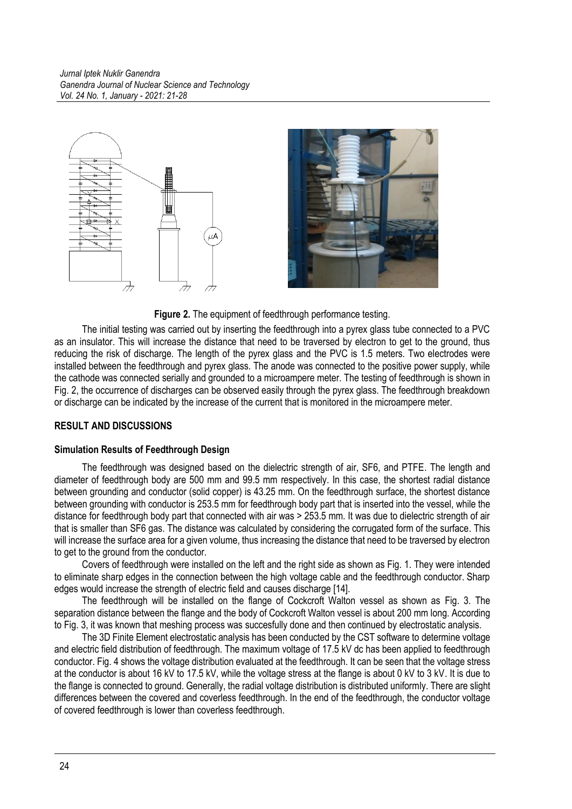

**Figure 2.** The equipment of feedthrough performance testing.

The initial testing was carried out by inserting the feedthrough into a pyrex glass tube connected to a PVC as an insulator. This will increase the distance that need to be traversed by electron to get to the ground, thus reducing the risk of discharge. The length of the pyrex glass and the PVC is 1.5 meters. Two electrodes were installed between the feedthrough and pyrex glass. The anode was connected to the positive power supply, while the cathode was connected serially and grounded to a microampere meter. The testing of feedthrough is shown in Fig. 2, the occurrence of discharges can be observed easily through the pyrex glass. The feedthrough breakdown or discharge can be indicated by the increase of the current that is monitored in the microampere meter.

# **RESULT AND DISCUSSIONS**

# **Simulation Results of Feedthrough Design**

The feedthrough was designed based on the dielectric strength of air, SF6, and PTFE. The length and diameter of feedthrough body are 500 mm and 99.5 mm respectively. In this case, the shortest radial distance between grounding and conductor (solid copper) is 43.25 mm. On the feedthrough surface, the shortest distance between grounding with conductor is 253.5 mm for feedthrough body part that is inserted into the vessel, while the distance for feedthrough body part that connected with air was > 253.5 mm. It was due to dielectric strength of air that is smaller than SF6 gas. The distance was calculated by considering the corrugated form of the surface. This will increase the surface area for a given volume, thus increasing the distance that need to be traversed by electron to get to the ground from the conductor.

Covers of feedthrough were installed on the left and the right side as shown as Fig. 1. They were intended to eliminate sharp edges in the connection between the high voltage cable and the feedthrough conductor. Sharp edges would increase the strength of electric field and causes discharge [14].

The feedthrough will be installed on the flange of Cockcroft Walton vessel as shown as Fig. 3. The separation distance between the flange and the body of Cockcroft Walton vessel is about 200 mm long. According to Fig. 3, it was known that meshing process was succesfully done and then continued by electrostatic analysis.

The 3D Finite Element electrostatic analysis has been conducted by the CST software to determine voltage and electric field distribution of feedthrough. The maximum voltage of 17.5 kV dc has been applied to feedthrough conductor. Fig. 4 shows the voltage distribution evaluated at the feedthrough. It can be seen that the voltage stress at the conductor is about 16 kV to 17.5 kV, while the voltage stress at the flange is about 0 kV to 3 kV. It is due to the flange is connected to ground. Generally, the radial voltage distribution is distributed uniformly. There are slight differences between the covered and coverless feedthrough. In the end of the feedthrough, the conductor voltage of covered feedthrough is lower than coverless feedthrough.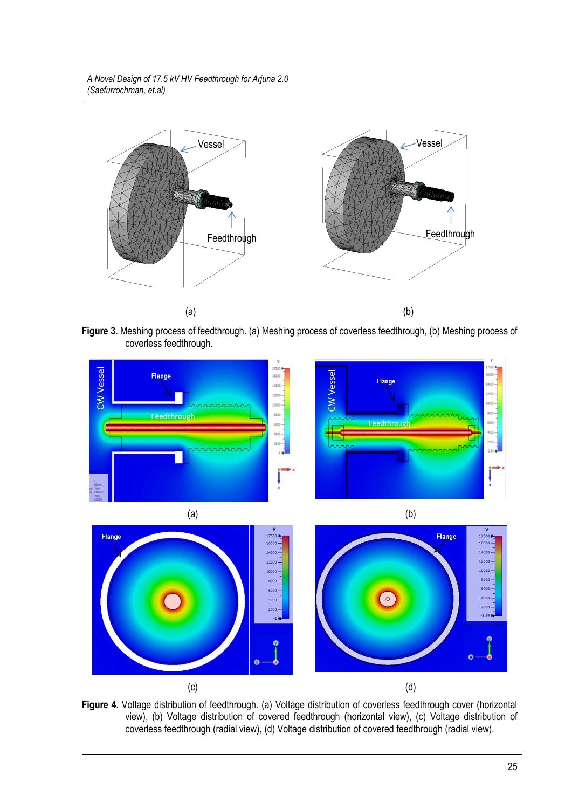

**Figure 3.** Meshing process of feedthrough. (a) Meshing process of coverless feedthrough, (b) Meshing process of coverless feedthrough.



**Figure 4.** Voltage distribution of feedthrough. (a) Voltage distribution of coverless feedthrough cover (horizontal view), (b) Voltage distribution of covered feedthrough (horizontal view), (c) Voltage distribution of coverless feedthrough (radial view), (d) Voltage distribution of covered feedthrough (radial view).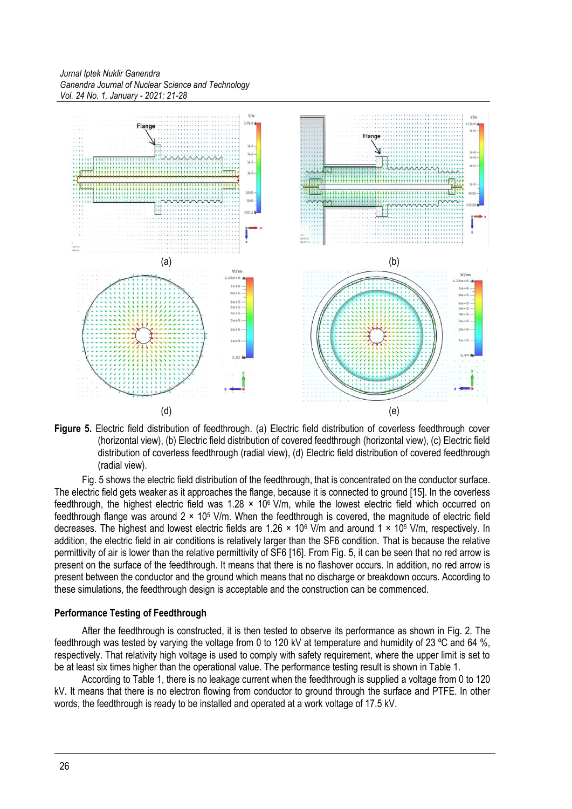*Jurnal Iptek Nuklir Ganendra Ganendra Journal of Nuclear Science and Technology Vol. 24 No. 1, January - 2021: 21-28*



**Figure 5.** Electric field distribution of feedthrough. (a) Electric field distribution of coverless feedthrough cover (horizontal view), (b) Electric field distribution of covered feedthrough (horizontal view), (c) Electric field distribution of coverless feedthrough (radial view), (d) Electric field distribution of covered feedthrough (radial view).

Fig. 5 shows the electric field distribution of the feedthrough, that is concentrated on the conductor surface. The electric field gets weaker as it approaches the flange, because it is connected to ground [15]. In the coverless feedthrough, the highest electric field was 1.28  $\times$  10<sup>6</sup> V/m, while the lowest electric field which occurred on feedthrough flange was around  $2 \times 10^5$  V/m. When the feedthrough is covered, the magnitude of electric field decreases. The highest and lowest electric fields are 1.26  $\times$  10<sup>6</sup> V/m and around 1  $\times$  10<sup>5</sup> V/m, respectively. In addition, the electric field in air conditions is relatively larger than the SF6 condition. That is because the relative permittivity of air is lower than the relative permittivity of SF6 [16]. From Fig. 5, it can be seen that no red arrow is present on the surface of the feedthrough. It means that there is no flashover occurs. In addition, no red arrow is present between the conductor and the ground which means that no discharge or breakdown occurs. According to these simulations, the feedthrough design is acceptable and the construction can be commenced.

#### **Performance Testing of Feedthrough**

After the feedthrough is constructed, it is then tested to observe its performance as shown in Fig. 2. The feedthrough was tested by varying the voltage from 0 to 120 kV at temperature and humidity of 23 ºC and 64 %, respectively. That relativity high voltage is used to comply with safety requirement, where the upper limit is set to be at least six times higher than the operational value. The performance testing result is shown in Table 1.

According to Table 1, there is no leakage current when the feedthrough is supplied a voltage from 0 to 120 kV. It means that there is no electron flowing from conductor to ground through the surface and PTFE. In other words, the feedthrough is ready to be installed and operated at a work voltage of 17.5 kV.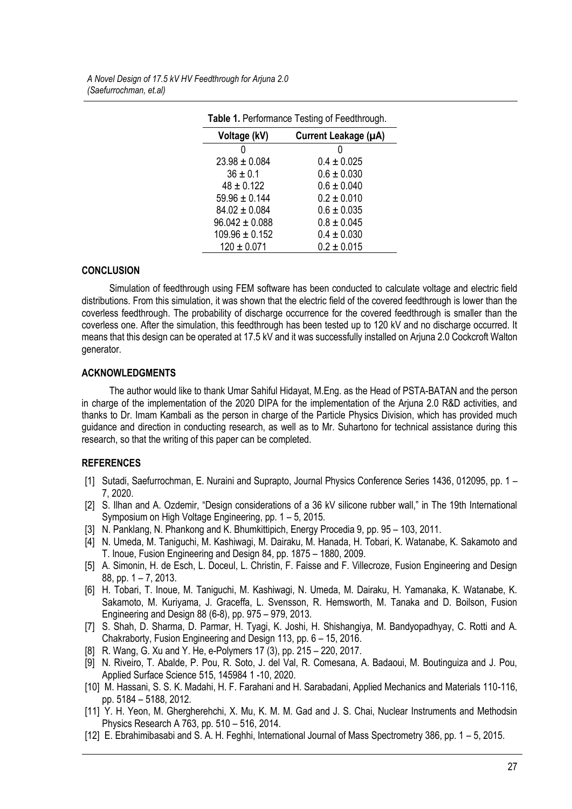| Voltage (kV)       | Current Leakage (µA) |
|--------------------|----------------------|
|                    |                      |
| $23.98 \pm 0.084$  | $0.4 \pm 0.025$      |
| $36 \pm 0.1$       | $0.6 \pm 0.030$      |
| $48 \pm 0.122$     | $0.6 \pm 0.040$      |
| $59.96 \pm 0.144$  | $0.2 \pm 0.010$      |
| $84.02 \pm 0.084$  | $0.6 \pm 0.035$      |
| $96.042 \pm 0.088$ | $0.8 \pm 0.045$      |
| $109.96 \pm 0.152$ | $0.4 \pm 0.030$      |
| $120 \pm 0.071$    | $0.2 \pm 0.015$      |

**Table 1.** Performance Testing of Feedthrough.

## **CONCLUSION**

Simulation of feedthrough using FEM software has been conducted to calculate voltage and electric field distributions. From this simulation, it was shown that the electric field of the covered feedthrough is lower than the coverless feedthrough. The probability of discharge occurrence for the covered feedthrough is smaller than the coverless one. After the simulation, this feedthrough has been tested up to 120 kV and no discharge occurred. It means that this design can be operated at 17.5 kV and it was successfully installed on Arjuna 2.0 Cockcroft Walton generator.

## **ACKNOWLEDGMENTS**

The author would like to thank Umar Sahiful Hidayat, M.Eng. as the Head of PSTA-BATAN and the person in charge of the implementation of the 2020 DIPA for the implementation of the Arjuna 2.0 R&D activities, and thanks to Dr. Imam Kambali as the person in charge of the Particle Physics Division, which has provided much guidance and direction in conducting research, as well as to Mr. Suhartono for technical assistance during this research, so that the writing of this paper can be completed.

# **REFERENCES**

- [1] Sutadi, Saefurrochman, E. Nuraini and Suprapto, Journal Physics Conference Series 1436, 012095, pp. 1 7, 2020.
- [2] S. Ilhan and A. Ozdemir, "Design considerations of a 36 kV silicone rubber wall," in The 19th International Symposium on High Voltage Engineering, pp. 1 – 5, 2015.
- [3] N. Panklang, N. Phankong and K. Bhumkittipich, Energy Procedia 9, pp. 95 103, 2011.
- [4] N. Umeda, M. Taniguchi, M. Kashiwagi, M. Dairaku, M. Hanada, H. Tobari, K. Watanabe, K. Sakamoto and T. Inoue, Fusion Engineering and Design 84, pp. 1875 – 1880, 2009.
- [5] A. Simonin, H. de Esch, L. Doceul, L. Christin, F. Faisse and F. Villecroze, Fusion Engineering and Design 88, pp. 1 – 7, 2013.
- [6] H. Tobari, T. Inoue, M. Taniguchi, M. Kashiwagi, N. Umeda, M. Dairaku, H. Yamanaka, K. Watanabe, K. Sakamoto, M. Kuriyama, J. Graceffa, L. Svensson, R. Hemsworth, M. Tanaka and D. Boilson, Fusion Engineering and Design 88 (6-8), pp. 975 – 979, 2013.
- [7] S. Shah, D. Sharma, D. Parmar, H. Tyagi, K. Joshi, H. Shishangiya, M. Bandyopadhyay, C. Rotti and A. Chakraborty, Fusion Engineering and Design 113, pp. 6 – 15, 2016.
- [8] R. Wang, G. Xu and Y. He, e-Polymers 17 (3), pp. 215 220, 2017.
- [9] N. Riveiro, T. Abalde, P. Pou, R. Soto, J. del Val, R. Comesana, A. Badaoui, M. Boutinguiza and J. Pou, Applied Surface Science 515, 145984 1 -10, 2020.
- [10] M. Hassani, S. S. K. Madahi, H. F. Farahani and H. Sarabadani, Applied Mechanics and Materials 110-116, pp. 5184 – 5188, 2012.
- [11] Y. H. Yeon, M. Ghergherehchi, X. Mu, K. M. M. Gad and J. S. Chai, Nuclear Instruments and Methodsin Physics Research A 763, pp. 510 – 516, 2014.
- [12] E. Ebrahimibasabi and S. A. H. Feghhi, International Journal of Mass Spectrometry 386, pp. 1 5, 2015.